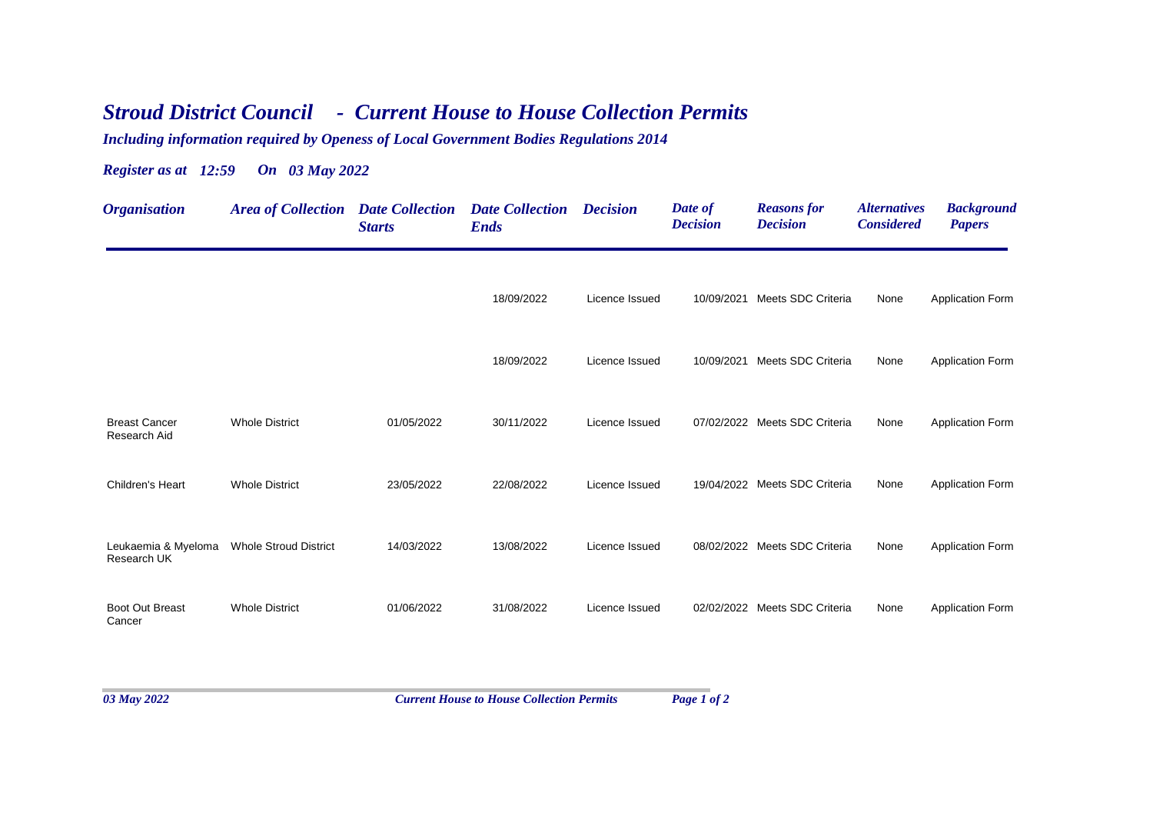## *Stroud District Council - Current House to House Collection Permits*

*Including information required by Openess of Local Government Bodies Regulations 2014*

*Register as at 12:59 On 03 May 2022*

| <b>Organisation</b>                  | <b>Area of Collection Date Collection</b> | <b>Starts</b> | <b>Date Collection Decision</b><br><b>Ends</b> |                | Date of<br><b>Decision</b> | <b>Reasons for</b><br><b>Decision</b> | <b>Alternatives</b><br><b>Considered</b> | <b>Background</b><br><b>Papers</b> |
|--------------------------------------|-------------------------------------------|---------------|------------------------------------------------|----------------|----------------------------|---------------------------------------|------------------------------------------|------------------------------------|
|                                      |                                           |               | 18/09/2022                                     | Licence Issued | 10/09/2021                 | Meets SDC Criteria                    | None                                     | <b>Application Form</b>            |
|                                      |                                           |               | 18/09/2022                                     | Licence Issued |                            | 10/09/2021 Meets SDC Criteria         | None                                     | <b>Application Form</b>            |
| <b>Breast Cancer</b><br>Research Aid | <b>Whole District</b>                     | 01/05/2022    | 30/11/2022                                     | Licence Issued |                            | 07/02/2022 Meets SDC Criteria         | None                                     | <b>Application Form</b>            |
| Children's Heart                     | <b>Whole District</b>                     | 23/05/2022    | 22/08/2022                                     | Licence Issued |                            | 19/04/2022 Meets SDC Criteria         | None                                     | <b>Application Form</b>            |
| Leukaemia & Myeloma<br>Research UK   | <b>Whole Stroud District</b>              | 14/03/2022    | 13/08/2022                                     | Licence Issued |                            | 08/02/2022 Meets SDC Criteria         | None                                     | Application Form                   |
| <b>Boot Out Breast</b><br>Cancer     | <b>Whole District</b>                     | 01/06/2022    | 31/08/2022                                     | Licence Issued |                            | 02/02/2022 Meets SDC Criteria         | None                                     | <b>Application Form</b>            |
|                                      |                                           |               |                                                |                |                            |                                       |                                          |                                    |